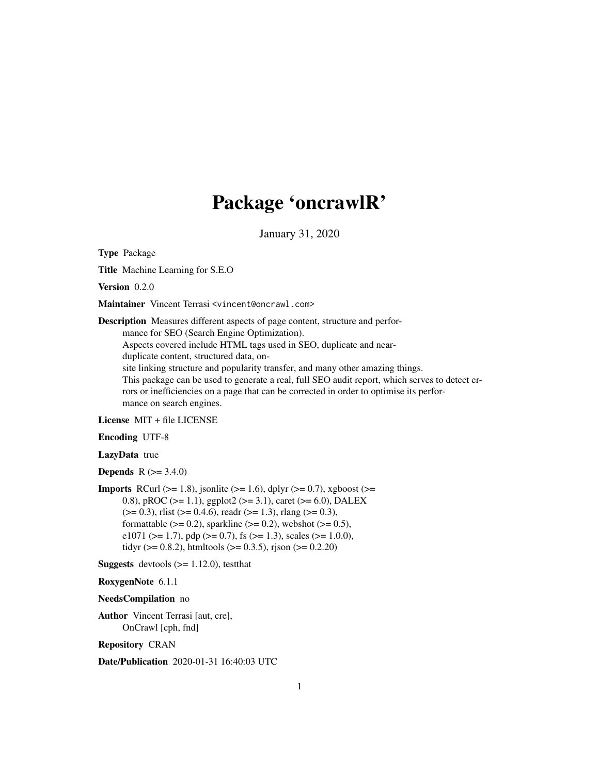# Package 'oncrawlR'

January 31, 2020

Type Package

Title Machine Learning for S.E.O

Version 0.2.0

Maintainer Vincent Terrasi <vincent@oncrawl.com>

Description Measures different aspects of page content, structure and performance for SEO (Search Engine Optimization). Aspects covered include HTML tags used in SEO, duplicate and nearduplicate content, structured data, onsite linking structure and popularity transfer, and many other amazing things. This package can be used to generate a real, full SEO audit report, which serves to detect errors or inefficiencies on a page that can be corrected in order to optimise its performance on search engines.

License MIT + file LICENSE

Encoding UTF-8

LazyData true

**Depends**  $R (= 3.4.0)$ 

**Imports** RCurl ( $>= 1.8$ ), jsonlite ( $>= 1.6$ ), dplyr ( $>= 0.7$ ), xgboost ( $>=$ 0.8), pROC ( $>= 1.1$ ), ggplot2 ( $>= 3.1$ ), caret ( $>= 6.0$ ), DALEX  $(>= 0.3)$ , rlist  $(>= 0.4.6)$ , readr  $(>= 1.3)$ , rlang  $(>= 0.3)$ , formattable ( $>= 0.2$ ), sparkline ( $>= 0.2$ ), webshot ( $>= 0.5$ ), e1071 ( $>= 1.7$ ), pdp ( $>= 0.7$ ), fs ( $>= 1.3$ ), scales ( $>= 1.0.0$ ), tidyr ( $> = 0.8.2$ ), htmltools ( $> = 0.3.5$ ), rjson ( $> = 0.2.20$ )

**Suggests** devtools  $(>= 1.12.0)$ , test that

RoxygenNote 6.1.1

NeedsCompilation no

Author Vincent Terrasi [aut, cre], OnCrawl [cph, fnd]

Repository CRAN

Date/Publication 2020-01-31 16:40:03 UTC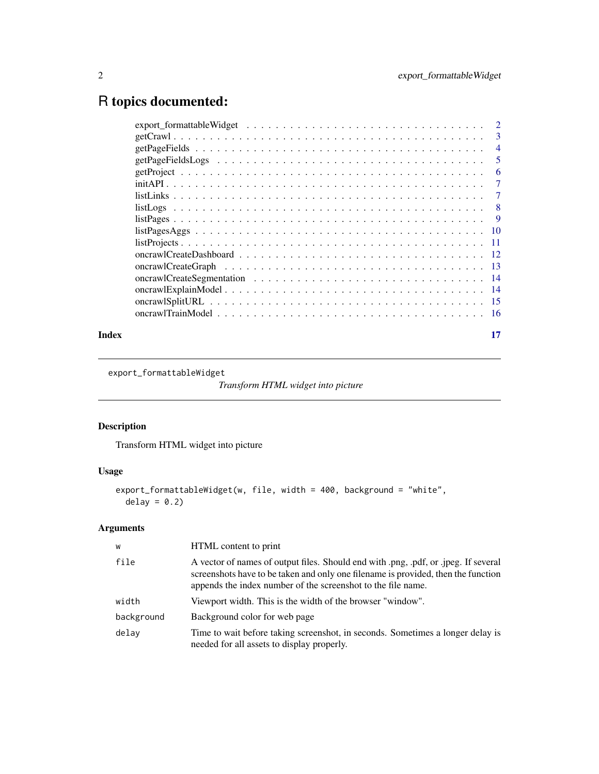# <span id="page-1-0"></span>R topics documented:

|  |  |  |  | $\mathcal{D}_{\mathcal{L}}$ |
|--|--|--|--|-----------------------------|
|  |  |  |  | 3                           |
|  |  |  |  | $\overline{4}$              |
|  |  |  |  | 5                           |
|  |  |  |  | 6                           |
|  |  |  |  | 7                           |
|  |  |  |  | 7                           |
|  |  |  |  | 8                           |
|  |  |  |  | -9                          |
|  |  |  |  | -10                         |
|  |  |  |  | -11                         |
|  |  |  |  | $-12$                       |
|  |  |  |  | - 13                        |
|  |  |  |  |                             |
|  |  |  |  |                             |
|  |  |  |  |                             |
|  |  |  |  |                             |
|  |  |  |  |                             |

#### **Index** [17](#page-16-0)

export\_formattableWidget

*Transform HTML widget into picture*

# Description

Transform HTML widget into picture

# Usage

```
export_formattableWidget(w, file, width = 400, background = "white",
  delay = 0.2)
```
# Arguments

| W          | HTML content to print                                                                                                                                                                                                                    |
|------------|------------------------------------------------------------------------------------------------------------------------------------------------------------------------------------------------------------------------------------------|
| file       | A vector of names of output files. Should end with .png, .pdf, or .jpeg. If several<br>screenshots have to be taken and only one filename is provided, then the function<br>appends the index number of the screenshot to the file name. |
| width      | Viewport width. This is the width of the browser "window".                                                                                                                                                                               |
| background | Background color for web page                                                                                                                                                                                                            |
| delay      | Time to wait before taking screenshot, in seconds. Sometimes a longer delay is<br>needed for all assets to display properly.                                                                                                             |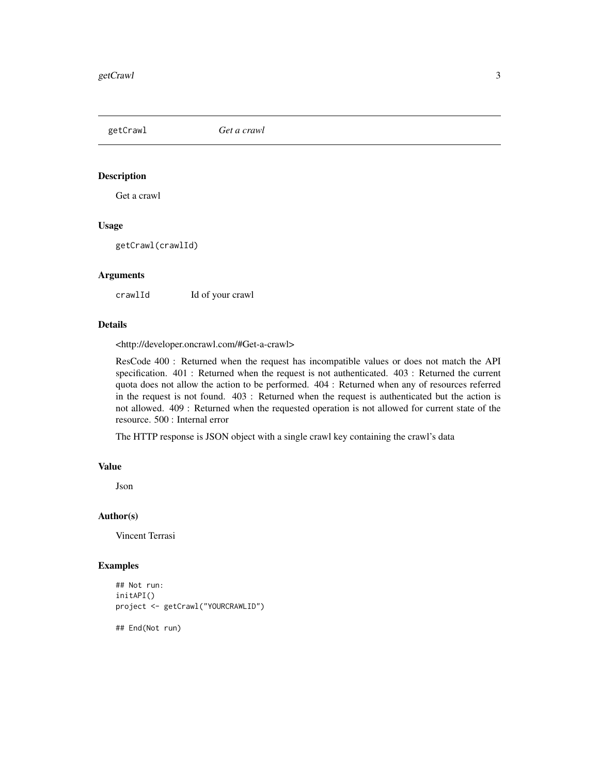<span id="page-2-0"></span>getCrawl *Get a crawl*

### Description

Get a crawl

# Usage

getCrawl(crawlId)

#### Arguments

crawlId Id of your crawl

#### Details

<http://developer.oncrawl.com/#Get-a-crawl>

ResCode 400 : Returned when the request has incompatible values or does not match the API specification. 401 : Returned when the request is not authenticated. 403 : Returned the current quota does not allow the action to be performed. 404 : Returned when any of resources referred in the request is not found. 403 : Returned when the request is authenticated but the action is not allowed. 409 : Returned when the requested operation is not allowed for current state of the resource. 500 : Internal error

The HTTP response is JSON object with a single crawl key containing the crawl's data

#### Value

Json

#### Author(s)

Vincent Terrasi

```
## Not run:
initAPI()
project <- getCrawl("YOURCRAWLID")
## End(Not run)
```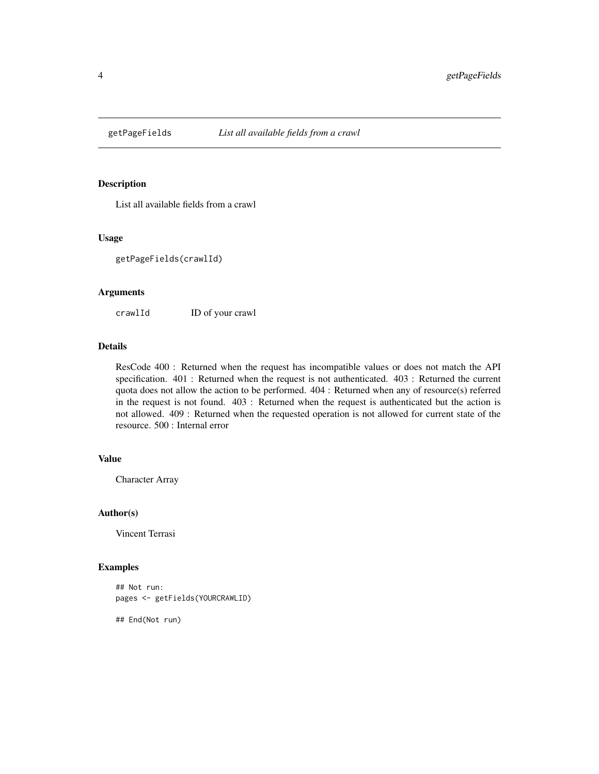<span id="page-3-0"></span>

List all available fields from a crawl

# Usage

getPageFields(crawlId)

#### Arguments

crawlId ID of your crawl

#### Details

ResCode 400 : Returned when the request has incompatible values or does not match the API specification. 401 : Returned when the request is not authenticated. 403 : Returned the current quota does not allow the action to be performed. 404 : Returned when any of resource(s) referred in the request is not found. 403 : Returned when the request is authenticated but the action is not allowed. 409 : Returned when the requested operation is not allowed for current state of the resource. 500 : Internal error

#### Value

Character Array

# Author(s)

Vincent Terrasi

#### Examples

```
## Not run:
pages <- getFields(YOURCRAWLID)
```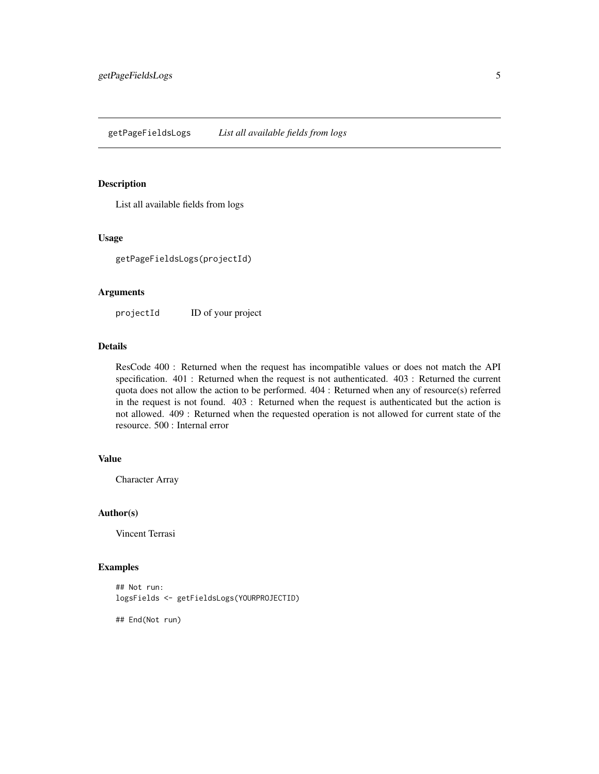<span id="page-4-0"></span>List all available fields from logs

# Usage

getPageFieldsLogs(projectId)

#### Arguments

projectId ID of your project

# Details

ResCode 400 : Returned when the request has incompatible values or does not match the API specification. 401 : Returned when the request is not authenticated. 403 : Returned the current quota does not allow the action to be performed. 404 : Returned when any of resource(s) referred in the request is not found. 403 : Returned when the request is authenticated but the action is not allowed. 409 : Returned when the requested operation is not allowed for current state of the resource. 500 : Internal error

#### Value

Character Array

# Author(s)

Vincent Terrasi

#### Examples

```
## Not run:
logsFields <- getFieldsLogs(YOURPROJECTID)
```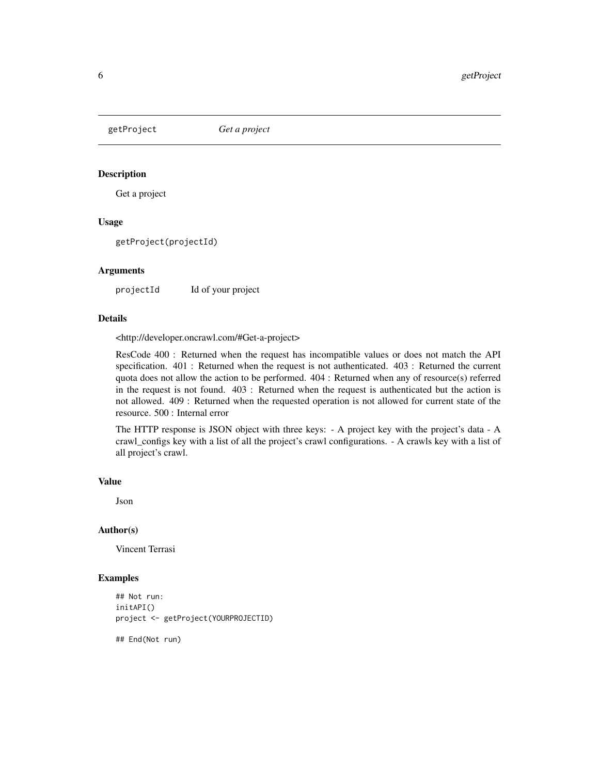<span id="page-5-0"></span>

Get a project

#### Usage

getProject(projectId)

#### Arguments

projectId Id of your project

# Details

<http://developer.oncrawl.com/#Get-a-project>

ResCode 400 : Returned when the request has incompatible values or does not match the API specification. 401 : Returned when the request is not authenticated. 403 : Returned the current quota does not allow the action to be performed. 404 : Returned when any of resource(s) referred in the request is not found. 403 : Returned when the request is authenticated but the action is not allowed. 409 : Returned when the requested operation is not allowed for current state of the resource. 500 : Internal error

The HTTP response is JSON object with three keys: - A project key with the project's data - A crawl\_configs key with a list of all the project's crawl configurations. - A crawls key with a list of all project's crawl.

#### Value

Json

#### Author(s)

Vincent Terrasi

```
## Not run:
initAPI()
project <- getProject(YOURPROJECTID)
## End(Not run)
```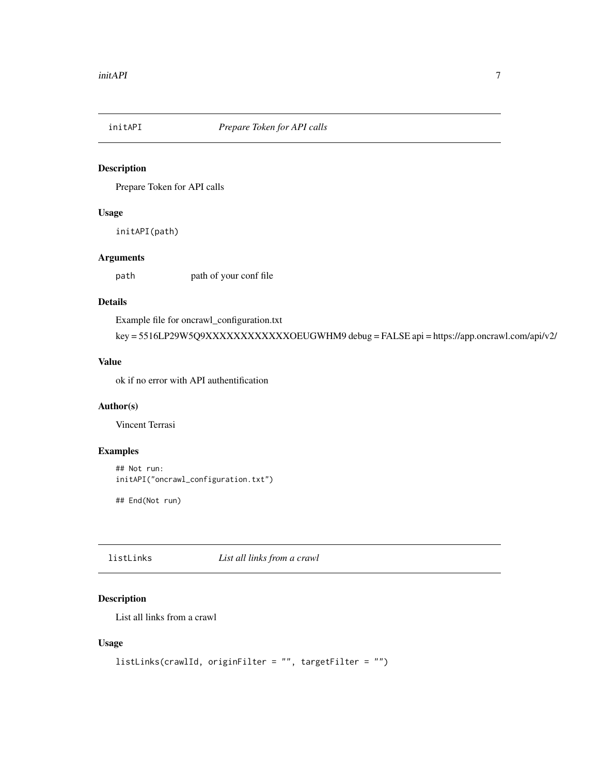<span id="page-6-0"></span>

Prepare Token for API calls

#### Usage

initAPI(path)

# Arguments

path path of your conf file

# Details

Example file for oncrawl\_configuration.txt key = 5516LP29W5Q9XXXXXXXXXXXXOEUGWHM9 debug = FALSE api = https://app.oncrawl.com/api/v2/

#### Value

ok if no error with API authentification

#### Author(s)

Vincent Terrasi

# Examples

```
## Not run:
initAPI("oncrawl_configuration.txt")
```
## End(Not run)

listLinks *List all links from a crawl*

# Description

List all links from a crawl

# Usage

```
listLinks(crawlId, originFilter = "", targetFilter = "")
```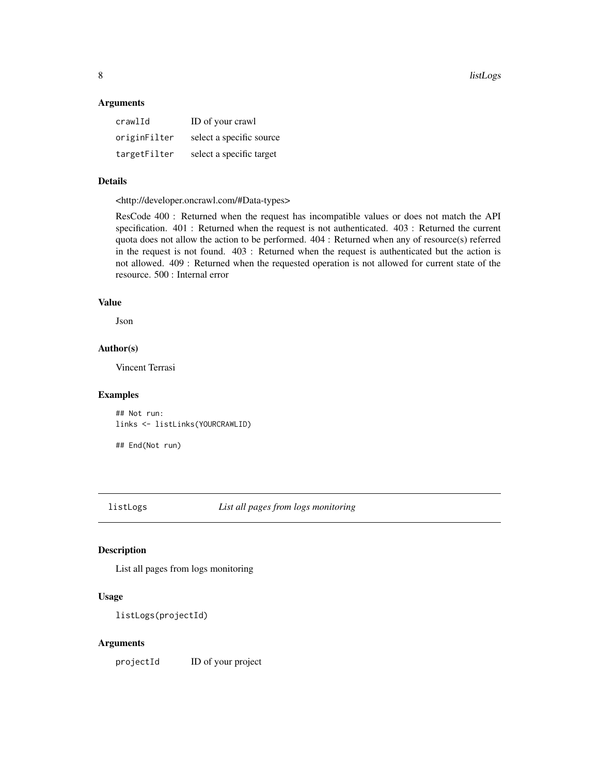<span id="page-7-0"></span>8 listLogs and the contract of the contract of the contract of the contract of the contract of the contract of the contract of the contract of the contract of the contract of the contract of the contract of the contract of

#### Arguments

| crawlId      | ID of your crawl         |
|--------------|--------------------------|
| originFilter | select a specific source |
| targetFilter | select a specific target |

# Details

<http://developer.oncrawl.com/#Data-types>

ResCode 400 : Returned when the request has incompatible values or does not match the API specification. 401 : Returned when the request is not authenticated. 403 : Returned the current quota does not allow the action to be performed. 404 : Returned when any of resource(s) referred in the request is not found. 403 : Returned when the request is authenticated but the action is not allowed. 409 : Returned when the requested operation is not allowed for current state of the resource. 500 : Internal error

#### Value

Json

# Author(s)

Vincent Terrasi

#### Examples

## Not run: links <- listLinks(YOURCRAWLID)

## End(Not run)

listLogs *List all pages from logs monitoring*

#### Description

List all pages from logs monitoring

# Usage

```
listLogs(projectId)
```
#### Arguments

projectId ID of your project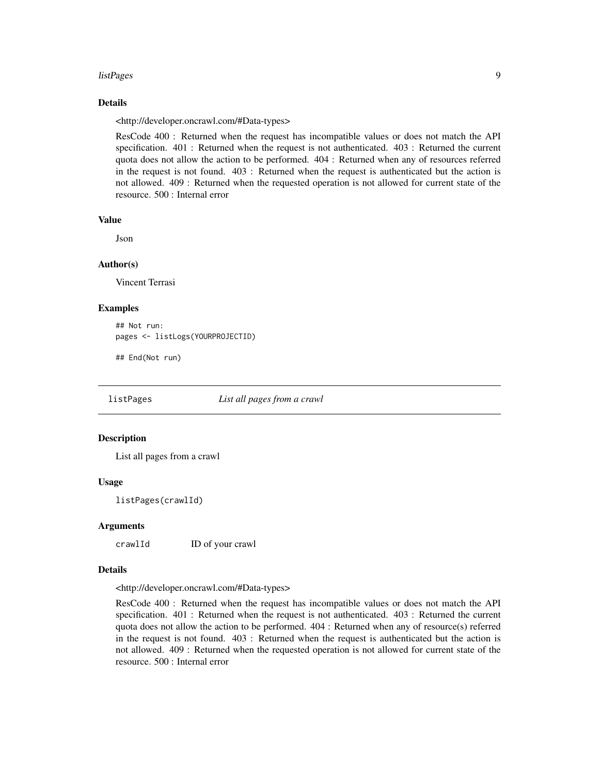#### <span id="page-8-0"></span>listPages 9

#### Details

<http://developer.oncrawl.com/#Data-types>

ResCode 400 : Returned when the request has incompatible values or does not match the API specification. 401 : Returned when the request is not authenticated. 403 : Returned the current quota does not allow the action to be performed. 404 : Returned when any of resources referred in the request is not found. 403 : Returned when the request is authenticated but the action is not allowed. 409 : Returned when the requested operation is not allowed for current state of the resource. 500 : Internal error

#### Value

Json

# Author(s)

Vincent Terrasi

#### Examples

```
## Not run:
pages <- listLogs(YOURPROJECTID)
```
## End(Not run)

listPages *List all pages from a crawl*

#### Description

List all pages from a crawl

#### Usage

listPages(crawlId)

# Arguments

crawlId ID of your crawl

#### Details

<http://developer.oncrawl.com/#Data-types>

ResCode 400 : Returned when the request has incompatible values or does not match the API specification. 401 : Returned when the request is not authenticated. 403 : Returned the current quota does not allow the action to be performed. 404 : Returned when any of resource(s) referred in the request is not found. 403 : Returned when the request is authenticated but the action is not allowed. 409 : Returned when the requested operation is not allowed for current state of the resource. 500 : Internal error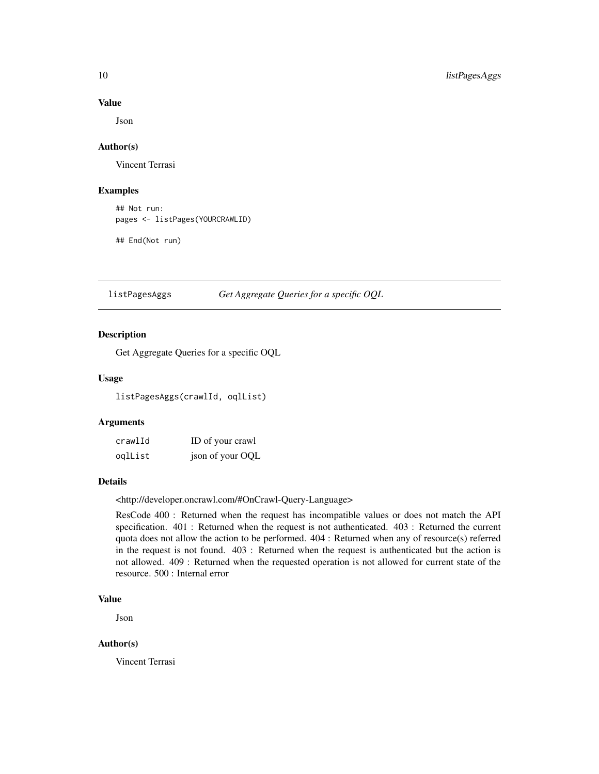#### Value

Json

#### Author(s)

Vincent Terrasi

#### Examples

## Not run: pages <- listPages(YOURCRAWLID)

## End(Not run)

listPagesAggs *Get Aggregate Queries for a specific OQL*

# Description

Get Aggregate Queries for a specific OQL

#### Usage

listPagesAggs(crawlId, oqlList)

#### Arguments

| crawlId | ID of your crawl |
|---------|------------------|
| oqlList | json of your OQL |

# Details

<http://developer.oncrawl.com/#OnCrawl-Query-Language>

ResCode 400 : Returned when the request has incompatible values or does not match the API specification. 401 : Returned when the request is not authenticated. 403 : Returned the current quota does not allow the action to be performed. 404 : Returned when any of resource(s) referred in the request is not found. 403 : Returned when the request is authenticated but the action is not allowed. 409 : Returned when the requested operation is not allowed for current state of the resource. 500 : Internal error

# Value

Json

# Author(s)

Vincent Terrasi

<span id="page-9-0"></span>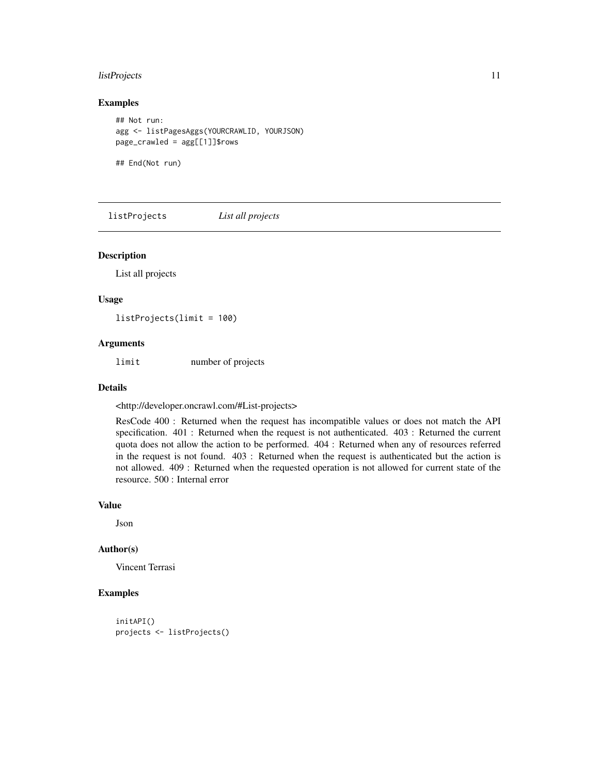# <span id="page-10-0"></span>listProjects 11

#### Examples

```
## Not run:
agg <- listPagesAggs(YOURCRAWLID, YOURJSON)
page_crawled = agg[[1]]$rows
```
## End(Not run)

listProjects *List all projects*

#### Description

List all projects

#### Usage

listProjects(limit = 100)

# Arguments

limit number of projects

#### Details

<http://developer.oncrawl.com/#List-projects>

ResCode 400 : Returned when the request has incompatible values or does not match the API specification. 401 : Returned when the request is not authenticated. 403 : Returned the current quota does not allow the action to be performed. 404 : Returned when any of resources referred in the request is not found. 403 : Returned when the request is authenticated but the action is not allowed. 409 : Returned when the requested operation is not allowed for current state of the resource. 500 : Internal error

#### Value

Json

#### Author(s)

Vincent Terrasi

```
initAPI()
projects <- listProjects()
```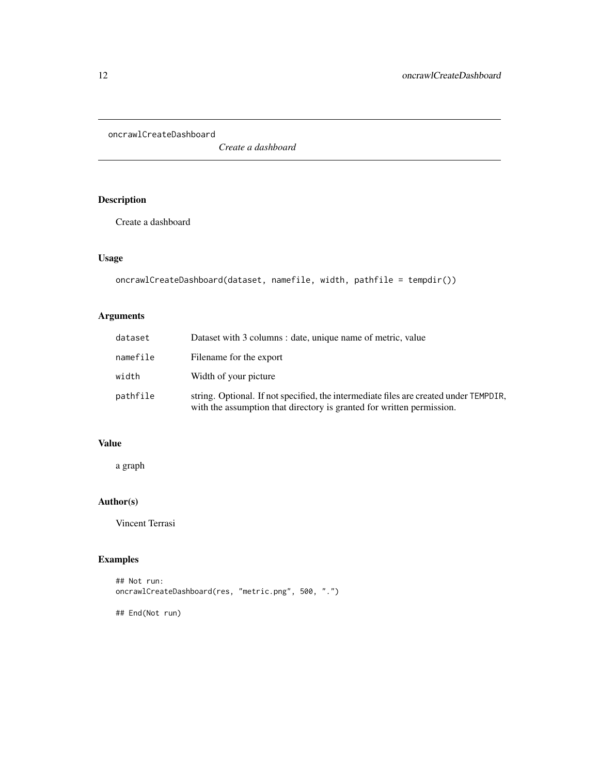<span id="page-11-0"></span>oncrawlCreateDashboard

*Create a dashboard*

# Description

Create a dashboard

# Usage

```
oncrawlCreateDashboard(dataset, namefile, width, pathfile = tempdir())
```
# Arguments

| dataset  | Dataset with 3 columns : date, unique name of metric, value                                                                                                    |
|----------|----------------------------------------------------------------------------------------------------------------------------------------------------------------|
| namefile | Filename for the export                                                                                                                                        |
| width    | Width of your picture                                                                                                                                          |
| pathfile | string. Optional. If not specified, the intermediate files are created under TEMPDIR,<br>with the assumption that directory is granted for written permission. |

# Value

a graph

# Author(s)

Vincent Terrasi

# Examples

## Not run: oncrawlCreateDashboard(res, "metric.png", 500, ".")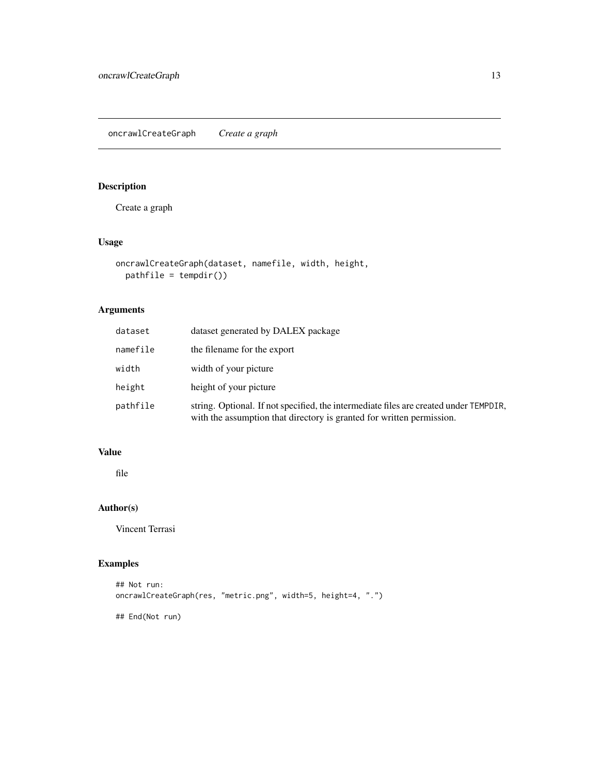<span id="page-12-0"></span>Create a graph

# Usage

```
oncrawlCreateGraph(dataset, namefile, width, height,
 pathfile = tempdir())
```
# Arguments

| dataset  | dataset generated by DALEX package                                                                                                                             |
|----------|----------------------------------------------------------------------------------------------------------------------------------------------------------------|
| namefile | the filename for the export                                                                                                                                    |
| width    | width of your picture                                                                                                                                          |
| height   | height of your picture                                                                                                                                         |
| pathfile | string. Optional. If not specified, the intermediate files are created under TEMPDIR,<br>with the assumption that directory is granted for written permission. |

# Value

file

# Author(s)

Vincent Terrasi

```
## Not run:
oncrawlCreateGraph(res, "metric.png", width=5, height=4, ".")
## End(Not run)
```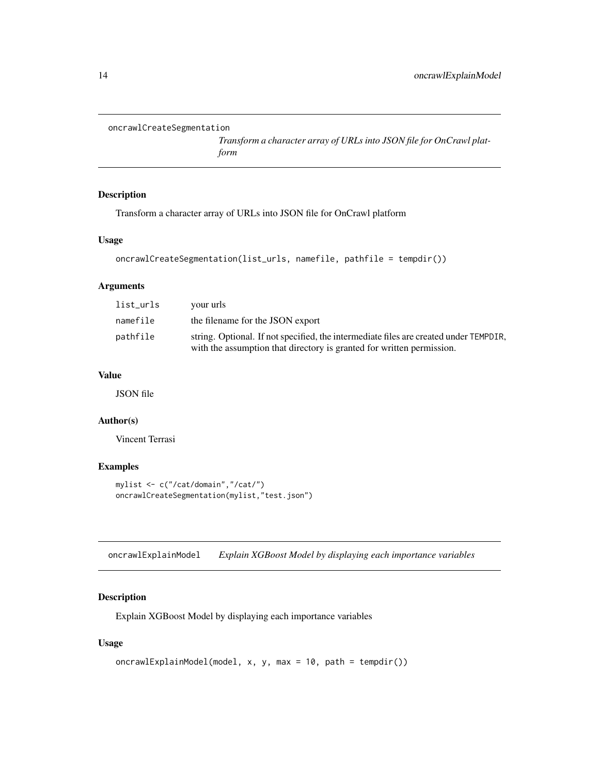```
oncrawlCreateSegmentation
```
*Transform a character array of URLs into JSON file for OnCrawl platform*

# Description

Transform a character array of URLs into JSON file for OnCrawl platform

#### Usage

```
oncrawlCreateSegmentation(list_urls, namefile, pathfile = tempdir())
```
# Arguments

| list_urls | your urls                                                                                                                                                      |
|-----------|----------------------------------------------------------------------------------------------------------------------------------------------------------------|
| namefile  | the filename for the JSON export                                                                                                                               |
| pathfile  | string. Optional. If not specified, the intermediate files are created under TEMPDIR,<br>with the assumption that directory is granted for written permission. |

# Value

JSON file

#### Author(s)

Vincent Terrasi

# Examples

```
mylist <- c("/cat/domain","/cat/")
oncrawlCreateSegmentation(mylist,"test.json")
```
oncrawlExplainModel *Explain XGBoost Model by displaying each importance variables*

# Description

Explain XGBoost Model by displaying each importance variables

# Usage

```
oncrawlExplainModel(model, x, y, max = 10, path = tempdir())
```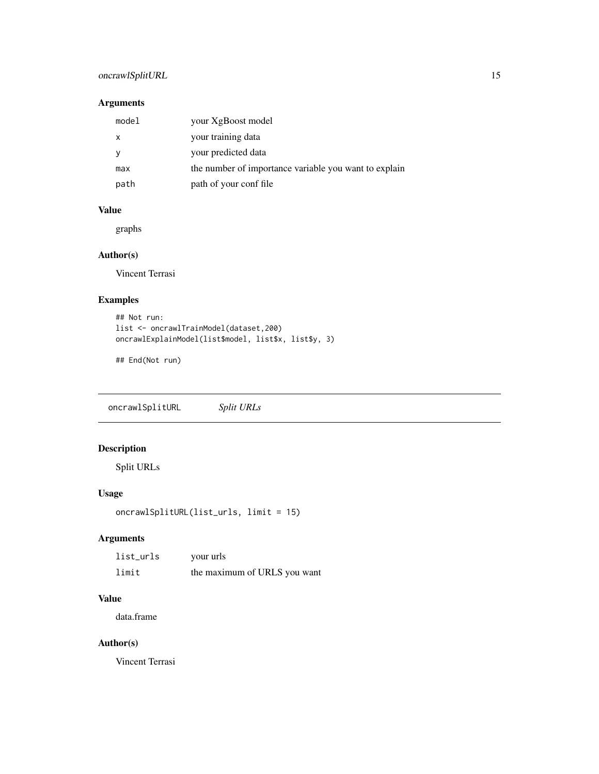# <span id="page-14-0"></span>oncrawlSplitURL 15

# Arguments

| model | your XgBoost model                                    |
|-------|-------------------------------------------------------|
| x     | your training data                                    |
|       | your predicted data                                   |
| max   | the number of importance variable you want to explain |
| path  | path of your conf file                                |

# Value

graphs

# Author(s)

Vincent Terrasi

# Examples

```
## Not run:
list <- oncrawlTrainModel(dataset,200)
oncrawlExplainModel(list$model, list$x, list$y, 3)
```
## End(Not run)

oncrawlSplitURL *Split URLs*

# Description

Split URLs

# Usage

```
oncrawlSplitURL(list_urls, limit = 15)
```
# Arguments

| list_urls | your urls                    |
|-----------|------------------------------|
| limit     | the maximum of URLS you want |

#### Value

data.frame

# Author(s)

Vincent Terrasi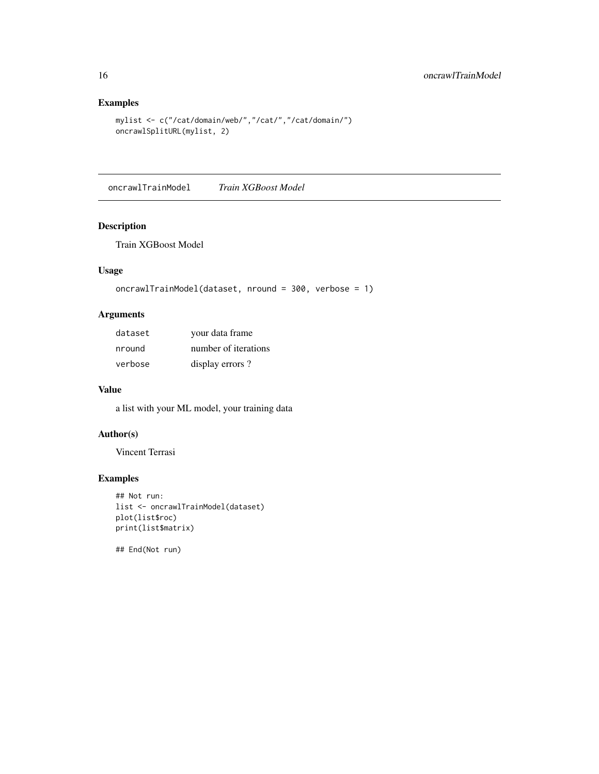# Examples

```
mylist <- c("/cat/domain/web/","/cat/","/cat/domain/")
oncrawlSplitURL(mylist, 2)
```
oncrawlTrainModel *Train XGBoost Model*

# Description

Train XGBoost Model

# Usage

```
oncrawlTrainModel(dataset, nround = 300, verbose = 1)
```
# Arguments

| dataset | your data frame      |
|---------|----------------------|
| nround  | number of iterations |
| verbose | display errors?      |

#### Value

a list with your ML model, your training data

# Author(s)

Vincent Terrasi

# Examples

```
## Not run:
list <- oncrawlTrainModel(dataset)
plot(list$roc)
print(list$matrix)
```
<span id="page-15-0"></span>